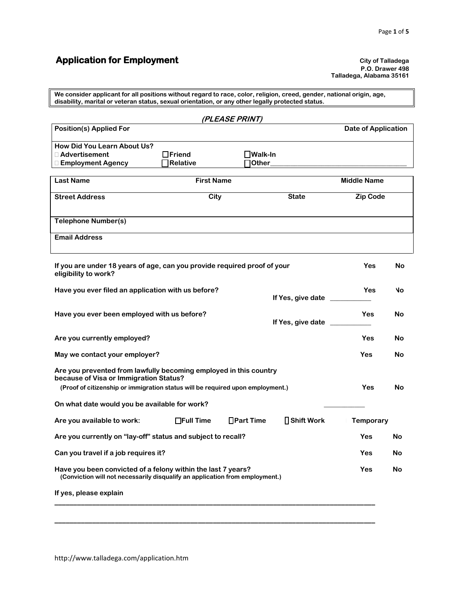# **Application for Employment City of Talladega**

**P.O. Drawer 498 Talladega, Alabama 35161**

**We consider applicant for all positions without regard to race, color, religion, creed, gender, national origin, age, disability, marital or veteran status, sexual orientation, or any other legally protected status.**

|                                                                                                                                                                                               |                                  | (PLEASE PRINT)            |                     |                            |    |
|-----------------------------------------------------------------------------------------------------------------------------------------------------------------------------------------------|----------------------------------|---------------------------|---------------------|----------------------------|----|
| <b>Position(s) Applied For</b>                                                                                                                                                                |                                  |                           |                     | <b>Date of Application</b> |    |
| How Did You Learn About Us?<br>□ Advertisement<br>□ Employment Agency                                                                                                                         | $\Box$ Friend<br><b>Relative</b> | _lWalk-In<br><b>Other</b> |                     |                            |    |
| <b>Last Name</b>                                                                                                                                                                              | <b>First Name</b>                |                           |                     | <b>Middle Name</b>         |    |
| <b>Street Address</b>                                                                                                                                                                         | City<br><b>State</b>             |                           |                     | <b>Zip Code</b>            |    |
| <b>Telephone Number(s)</b>                                                                                                                                                                    |                                  |                           |                     |                            |    |
| <b>Email Address</b>                                                                                                                                                                          |                                  |                           |                     |                            |    |
| If you are under 18 years of age, can you provide required proof of your<br>eligibility to work?                                                                                              |                                  |                           |                     | Yes                        | No |
| Have you ever filed an application with us before?<br>If Yes, give date _                                                                                                                     |                                  |                           | Yes                 | N٥                         |    |
| Have you ever been employed with us before?<br>If Yes, give date                                                                                                                              |                                  |                           |                     | Yes                        | No |
| Are you currently employed?<br>Yes                                                                                                                                                            |                                  |                           |                     |                            | No |
| May we contact your employer?                                                                                                                                                                 |                                  |                           |                     | Yes                        | No |
| Are you prevented from lawfully becoming employed in this country<br>because of Visa or Immigration Status?<br>(Proof of citizenship or immigration status will be required upon employment.) |                                  |                           |                     | Yes                        | No |
| On what date would you be available for work?                                                                                                                                                 |                                  |                           |                     |                            |    |
| Are you available to work:                                                                                                                                                                    | $\Box$ Full Time                 | $\Box$ Part Time          | <b>□ Shift Work</b> | <b>Temporary</b>           |    |
| Are you currently on "lay-off" status and subject to recall?                                                                                                                                  |                                  |                           |                     | Yes                        | No |
| Can you travel if a job requires it?                                                                                                                                                          |                                  |                           | Yes                 | <b>No</b>                  |    |
| Have you been convicted of a felony within the last 7 years?<br>Yes<br>(Conviction will not necessarily disqualify an application from employment.)                                           |                                  |                           |                     | No                         |    |
| If yes, please explain                                                                                                                                                                        |                                  |                           |                     |                            |    |
|                                                                                                                                                                                               |                                  |                           |                     |                            |    |
|                                                                                                                                                                                               |                                  |                           |                     |                            |    |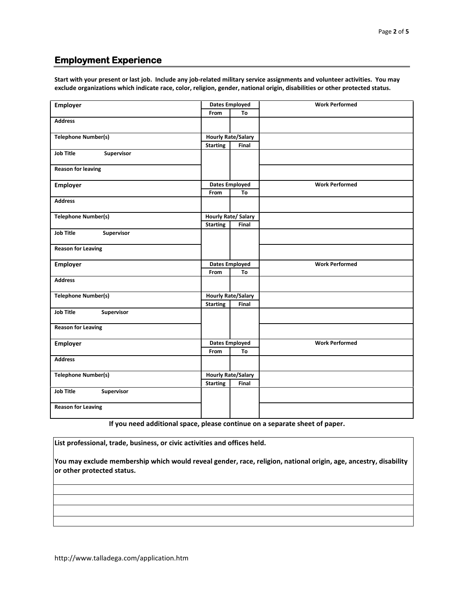### **Employment Experience**

**Start with your present or last job. Include any job-related military service assignments and volunteer activities. You may exclude organizations which indicate race, color, religion, gender, national origin, disabilities or other protected status.**

| <b>Employer</b>                                         | <b>Dates Employed</b> |                            | <b>Work Performed</b> |  |
|---------------------------------------------------------|-----------------------|----------------------------|-----------------------|--|
|                                                         | From                  | To                         |                       |  |
| <b>Address</b>                                          |                       |                            |                       |  |
| <b>Telephone Number(s)</b>                              |                       | <b>Hourly Rate/Salary</b>  |                       |  |
|                                                         | <b>Starting</b>       | Final                      |                       |  |
| <b>Job Title</b><br>Supervisor                          |                       |                            |                       |  |
| <b>Reason for leaving</b>                               |                       |                            |                       |  |
| Employer                                                |                       | <b>Dates Employed</b>      | <b>Work Performed</b> |  |
|                                                         | From                  | To                         |                       |  |
| <b>Address</b>                                          |                       |                            |                       |  |
| <b>Telephone Number(s)</b>                              |                       | <b>Hourly Rate/ Salary</b> |                       |  |
|                                                         | <b>Starting</b>       | Final                      |                       |  |
| <b>Job Title</b><br>Supervisor                          |                       |                            |                       |  |
| <b>Reason for Leaving</b>                               |                       |                            |                       |  |
| <b>Employer</b>                                         | <b>Dates Employed</b> |                            | <b>Work Performed</b> |  |
|                                                         | From                  | To                         |                       |  |
| <b>Address</b>                                          |                       |                            |                       |  |
| <b>Hourly Rate/Salary</b><br><b>Telephone Number(s)</b> |                       |                            |                       |  |
|                                                         | <b>Starting</b>       | Final                      |                       |  |
| <b>Job Title</b><br>Supervisor                          |                       |                            |                       |  |
| <b>Reason for Leaving</b>                               |                       |                            |                       |  |
| Employer                                                |                       | <b>Dates Employed</b>      | <b>Work Performed</b> |  |
|                                                         | From                  | To                         |                       |  |
| <b>Address</b>                                          |                       |                            |                       |  |
| <b>Telephone Number(s)</b>                              |                       | <b>Hourly Rate/Salary</b>  |                       |  |
|                                                         | <b>Starting</b>       | Final                      |                       |  |
| <b>Job Title</b><br>Supervisor                          |                       |                            |                       |  |
| <b>Reason for Leaving</b>                               |                       |                            |                       |  |

**If you need additional space, please continue on a separate sheet of paper.**

**List professional, trade, business, or civic activities and offices held.**

**You may exclude membership which would reveal gender, race, religion, national origin, age, ancestry, disability or other protected status.**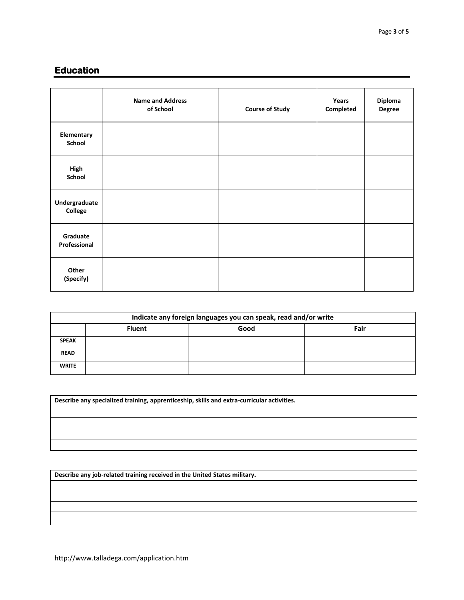## **Education**

|                          | <b>Name and Address</b><br>of School | <b>Course of Study</b> | Years<br>Completed | Diploma<br>Degree |
|--------------------------|--------------------------------------|------------------------|--------------------|-------------------|
| Elementary<br>School     |                                      |                        |                    |                   |
| High<br>School           |                                      |                        |                    |                   |
| Undergraduate<br>College |                                      |                        |                    |                   |
| Graduate<br>Professional |                                      |                        |                    |                   |
| Other<br>(Specify)       |                                      |                        |                    |                   |

| Indicate any foreign languages you can speak, read and/or write |               |      |      |
|-----------------------------------------------------------------|---------------|------|------|
|                                                                 | <b>Fluent</b> | Good | Fair |
| <b>SPEAK</b>                                                    |               |      |      |
| <b>READ</b>                                                     |               |      |      |
| <b>WRITE</b>                                                    |               |      |      |

| Describe any specialized training, apprenticeship, skills and extra-curricular activities. |  |  |  |
|--------------------------------------------------------------------------------------------|--|--|--|
|                                                                                            |  |  |  |
|                                                                                            |  |  |  |
|                                                                                            |  |  |  |
|                                                                                            |  |  |  |

**Describe any job-related training received in the United States military.**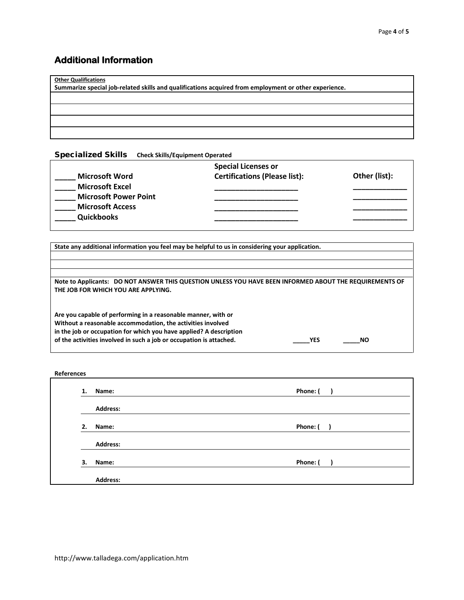## **Additional Information**

**Other Qualifications**

**Summarize special job-related skills and qualifications acquired from employment or other experience.**

#### Specialized Skills **Check Skills/Equipment Operated**

|                              | <b>Special Licenses or</b>           |               |
|------------------------------|--------------------------------------|---------------|
| <b>Microsoft Word</b>        | <b>Certifications (Please list):</b> | Other (list): |
| <b>Microsoft Excel</b>       |                                      |               |
| <b>Microsoft Power Point</b> |                                      |               |
| <b>Microsoft Access</b>      |                                      |               |
| <b>Quickbooks</b>            |                                      |               |

**State any additional information you feel may be helpful to us in considering your application.**

| Note to Applicants: DO NOT ANSWER THIS QUESTION UNLESS YOU HAVE BEEN INFORMED ABOUT THE REQUIREMENTS OF |  |
|---------------------------------------------------------------------------------------------------------|--|
| THE JOB FOR WHICH YOU ARE APPLYING.                                                                     |  |
|                                                                                                         |  |

**Are you capable of performing in a reasonable manner, with or Without a reasonable accommodation, the activities involved in the job or occupation for which you have applied? A description of the activities involved in such a job or occupation is attached. \_\_\_\_\_YES \_\_\_\_\_NO**

#### **References**

| 1. | Name:           | Phone: ( |
|----|-----------------|----------|
|    | <b>Address:</b> |          |
| 2. | Name:           | Phone: ( |
|    | <b>Address:</b> |          |
| 3. | Name:           | Phone: ( |
|    | <b>Address:</b> |          |